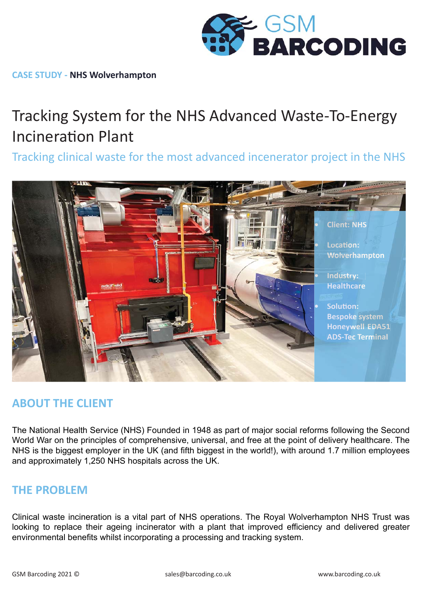

**CASE STUDY - NHS Wolverhampton**

# Tracking System for the NHS Advanced Waste-To-Energy **Incineration Plant**

Tracking clinical waste for the most advanced incenerator project in the NHS



## **ABOUT THE CLIENT**

The National Health Service (NHS) Founded in 1948 as part of major social reforms following the Second World War on the principles of comprehensive, universal, and free at the point of delivery healthcare. The NHS is the biggest employer in the UK (and fifth biggest in the world!), with around 1.7 million employees and approximately 1,250 NHS hospitals across the UK.

## **THE PROBLEM**

Clinical waste incineration is a vital part of NHS operations. The Royal Wolverhampton NHS Trust was looking to replace their ageing incinerator with a plant that improved efficiency and delivered greater environmental benefits whilst incorporating a processing and tracking system.